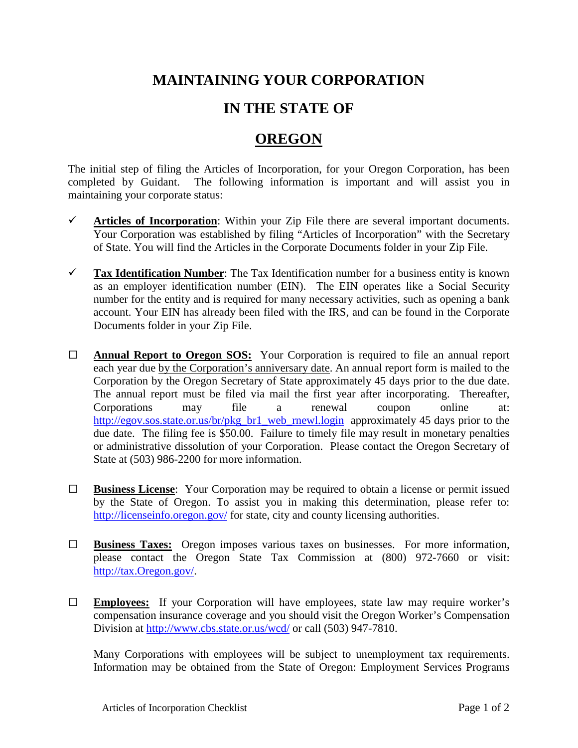## **MAINTAINING YOUR CORPORATION**

## **IN THE STATE OF**

## **OREGON**

The initial step of filing the Articles of Incorporation, for your Oregon Corporation, has been completed by Guidant. The following information is important and will assist you in maintaining your corporate status:

- $\checkmark$  Articles of Incorporation: Within your Zip File there are several important documents. Your Corporation was established by filing "Articles of Incorporation" with the Secretary of State. You will find the Articles in the Corporate Documents folder in your Zip File.
- **Tax Identification Number**: The Tax Identification number for a business entity is known as an employer identification number (EIN). The EIN operates like a Social Security number for the entity and is required for many necessary activities, such as opening a bank account. Your EIN has already been filed with the IRS, and can be found in the Corporate Documents folder in your Zip File.
- **□ Annual Report to Oregon SOS:** Your Corporation is required to file an annual report each year due by the Corporation's anniversary date. An annual report form is mailed to the Corporation by the Oregon Secretary of State approximately 45 days prior to the due date. The annual report must be filed via mail the first year after incorporating. Thereafter, Corporations may file a renewal coupon online at: [http://egov.sos.state.or.us/br/pkg\\_br1\\_web\\_rnewl.login](http://egov.sos.state.or.us/br/pkg_br1_web_rnewl.login) approximately 45 days prior to the due date. The filing fee is \$50.00. Failure to timely file may result in monetary penalties or administrative dissolution of your Corporation. Please contact the Oregon Secretary of State at (503) 986-2200 for more information.
- **□ Business License**: Your Corporation may be required to obtain a license or permit issued by the State of Oregon. To assist you in making this determination, please refer to: <http://licenseinfo.oregon.gov/> for state, city and county licensing authorities.
- **□ Business Taxes:** Oregon imposes various taxes on businesses. For more information, please contact the Oregon State Tax Commission at (800) 972-7660 or visit: [http://tax.Oregon.gov/.](http://tax.idaho.gov/)
- **□ Employees:** If your Corporation will have employees, state law may require worker's compensation insurance coverage and you should visit the Oregon Worker's Compensation Division at<http://www.cbs.state.or.us/wcd/> or call (503) 947-7810.

Many Corporations with employees will be subject to unemployment tax requirements. Information may be obtained from the State of Oregon: Employment Services Programs